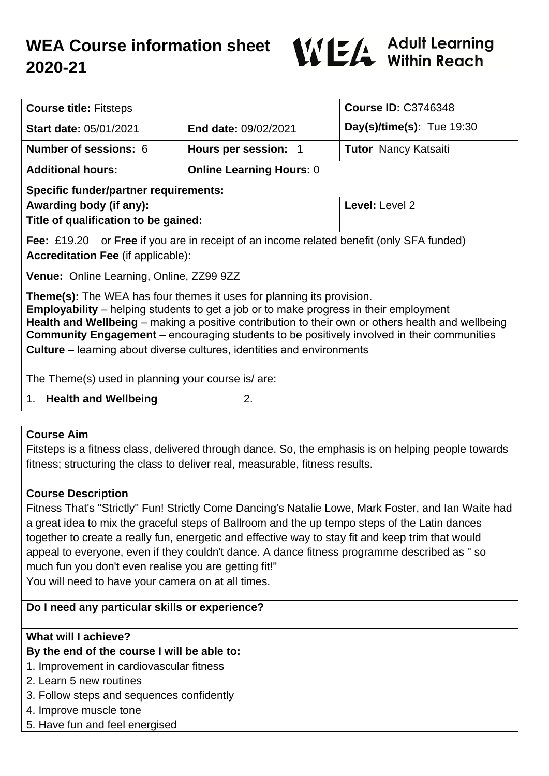# **WEA Course information sheet 2020-21**



| <b>Course title: Fitsteps</b>                                                                                                                                                                                                                                                                                                                                                                                                                                           |                                 | <b>Course ID: C3746348</b>  |
|-------------------------------------------------------------------------------------------------------------------------------------------------------------------------------------------------------------------------------------------------------------------------------------------------------------------------------------------------------------------------------------------------------------------------------------------------------------------------|---------------------------------|-----------------------------|
| <b>Start date: 05/01/2021</b>                                                                                                                                                                                                                                                                                                                                                                                                                                           | <b>End date: 09/02/2021</b>     | Day(s)/time(s): Tue $19:30$ |
| <b>Number of sessions: 6</b>                                                                                                                                                                                                                                                                                                                                                                                                                                            | Hours per session: 1            | <b>Tutor Nancy Katsaiti</b> |
| <b>Additional hours:</b>                                                                                                                                                                                                                                                                                                                                                                                                                                                | <b>Online Learning Hours: 0</b> |                             |
| <b>Specific funder/partner requirements:</b>                                                                                                                                                                                                                                                                                                                                                                                                                            |                                 |                             |
| Awarding body (if any):                                                                                                                                                                                                                                                                                                                                                                                                                                                 |                                 | Level: Level 2              |
| Title of qualification to be gained:                                                                                                                                                                                                                                                                                                                                                                                                                                    |                                 |                             |
| <b>Fee:</b> £19.20 or <b>Free</b> if you are in receipt of an income related benefit (only SFA funded)                                                                                                                                                                                                                                                                                                                                                                  |                                 |                             |
| <b>Accreditation Fee (if applicable):</b>                                                                                                                                                                                                                                                                                                                                                                                                                               |                                 |                             |
| Venue: Online Learning, Online, ZZ99 9ZZ                                                                                                                                                                                                                                                                                                                                                                                                                                |                                 |                             |
| <b>Theme(s):</b> The WEA has four themes it uses for planning its provision.<br><b>Employability</b> – helping students to get a job or to make progress in their employment<br>Health and Wellbeing – making a positive contribution to their own or others health and wellbeing<br><b>Community Engagement</b> – encouraging students to be positively involved in their communities<br><b>Culture</b> – learning about diverse cultures, identities and environments |                                 |                             |
| The Theme(s) used in planning your course is/ are:                                                                                                                                                                                                                                                                                                                                                                                                                      |                                 |                             |
| 2.<br><b>Health and Wellbeing</b><br>1.                                                                                                                                                                                                                                                                                                                                                                                                                                 |                                 |                             |

#### **Course Aim**

Fitsteps is a fitness class, delivered through dance. So, the emphasis is on helping people towards fitness; structuring the class to deliver real, measurable, fitness results.

## **Course Description**

Fitness That's "Strictly" Fun! Strictly Come Dancing's Natalie Lowe, Mark Foster, and Ian Waite had a great idea to mix the graceful steps of Ballroom and the up tempo steps of the Latin dances together to create a really fun, energetic and effective way to stay fit and keep trim that would appeal to everyone, even if they couldn't dance. A dance fitness programme described as " so much fun you don't even realise you are getting fit!" You will need to have your camera on at all times.

## **Do I need any particular skills or experience?**

## **What will I achieve?**

## **By the end of the course I will be able to:**

- 1. Improvement in cardiovascular fitness
- 2. Learn 5 new routines
- 3. Follow steps and sequences confidently
- 4. Improve muscle tone
- 5. Have fun and feel energised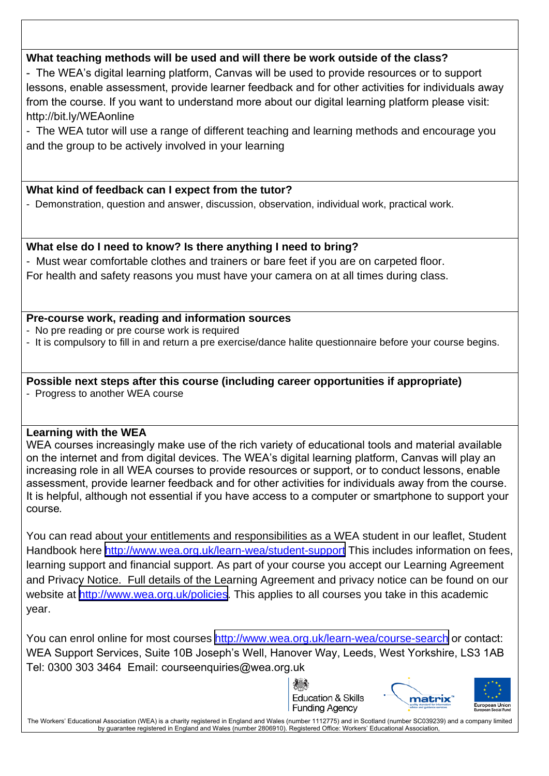## **What teaching methods will be used and will there be work outside of the class?**

- The WEA's digital learning platform, Canvas will be used to provide resources or to support lessons, enable assessment, provide learner feedback and for other activities for individuals away from the course. If you want to understand more about our digital learning platform please visit: http://bit.ly/WEAonline

- The WEA tutor will use a range of different teaching and learning methods and encourage you and the group to be actively involved in your learning

#### **What kind of feedback can I expect from the tutor?**

- Demonstration, question and answer, discussion, observation, individual work, practical work.

#### **What else do I need to know? Is there anything I need to bring?**

- Must wear comfortable clothes and trainers or bare feet if you are on carpeted floor.

For health and safety reasons you must have your camera on at all times during class.

#### **Pre-course work, reading and information sources**

- No pre reading or pre course work is required
- It is compulsory to fill in and return a pre exercise/dance halite questionnaire before your course begins.

## **Possible next steps after this course (including career opportunities if appropriate)**

- Progress to another WEA course

#### **Learning with the WEA**

WEA courses increasingly make use of the rich variety of educational tools and material available on the internet and from digital devices. The WEA's digital learning platform, Canvas will play an increasing role in all WEA courses to provide resources or support, or to conduct lessons, enable assessment, provide learner feedback and for other activities for individuals away from the course. It is helpful, although not essential if you have access to a computer or smartphone to support your course*.*

You can read about your entitlements and responsibilities as a WEA student in our leaflet, Student Handbook here <http://www.wea.org.uk/learn-wea/student-support> This includes information on fees, learning support and financial support. As part of your course you accept our Learning Agreement and Privacy Notice. Full details of the Learning Agreement and privacy notice can be found on our website at <http://www.wea.org.uk/policies>. This applies to all courses you take in this academic year.

You can enrol online for most courses<http://www.wea.org.uk/learn-wea/course-search> or contact: WEA Support Services, Suite 10B Joseph's Well, Hanover Way, Leeds, West Yorkshire, LS3 1AB Tel: 0300 303 3464 Email: courseenquiries@wea.org.uk

> Education & Skills **Funding Agency**



The Workers' Educational Association (WEA) is a charity registered in England and Wales (number 1112775) and in Scotland (number SC039239) and a company limited by guarantee registered in England and Wales (number 2806910). Registered Office: Workers' Educational Association,